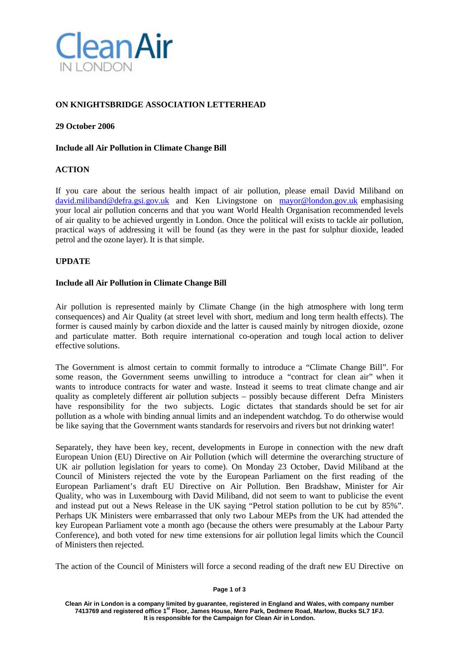

# **ON KNIGHTSBRIDGE ASSOCIATION LETTERHEAD**

## **29 October 2006**

## **Include all Air Pollution in Climate Change Bill**

## **ACTION**

If you care about the serious health impact of air pollution, please email David Miliband on [david.miliband@defra.gsi.gov.uk](mailto:david.miliband@defra.gsi.gov.uk) and Ken Livingstone on [mayor@london.gov.uk](mailto:mayor@london.gov.uk) emphasising your local air pollution concerns and that you want World Health Organisation recommended levels of air quality to be achieved urgently in London. Once the political will exists to tackle air pollution, practical ways of addressing it will be found (as they were in the past for sulphur dioxide, leaded petrol and the ozone layer). It is that simple.

## **UPDATE**

## **Include all Air Pollution in Climate Change Bill**

Air pollution is represented mainly by Climate Change (in the high atmosphere with long term consequences) and Air Quality (at street level with short, medium and long term health effects). The former is caused mainly by carbon dioxide and the latter is caused mainly by nitrogen dioxide, ozone and particulate matter. Both require international co-operation and tough local action to deliver effective solutions.

The Government is almost certain to commit formally to introduce a "Climate Change Bill". For some reason, the Government seems unwilling to introduce a "contract for clean air" when it wants to introduce contracts for water and waste. Instead it seems to treat climate change and air quality as completely different air pollution subjects – possibly because different Defra Ministers have responsibility for the two subjects. Logic dictates that standards should be set for air pollution as a whole with binding annual limits and an independent watchdog. To do otherwise would be like saying that the Government wants standards for reservoirs and rivers but not drinking water!

Separately, they have been key, recent, developments in Europe in connection with the new draft European Union (EU) Directive on Air Pollution (which will determine the overarching structure of UK air pollution legislation for years to come). On Monday 23 October, David Miliband at the Council of Ministers rejected the vote by the European Parliament on the first reading of the European Parliament's draft EU Directive on Air Pollution. Ben Bradshaw, Minister for Air Quality, who was in Luxembourg with David Miliband, did not seem to want to publicise the event and instead put out a News Release in the UK saying "Petrol station pollution to be cut by 85%". Perhaps UK Ministers were embarrassed that only two Labour MEPs from the UK had attended the key European Parliament vote a month ago (because the others were presumably at the Labour Party Conference), and both voted for new time extensions for air pollution legal limits which the Council of Ministers then rejected.

The action of the Council of Ministers will force a second reading of the draft new EU Directive on

#### **Page 1 of 3**

**Clean Air in London is a company limited by guarantee, registered in England and Wales, with company number 7413769 and registered office 1st Floor, James House, Mere Park, Dedmere Road, Marlow, Bucks SL7 1FJ. It is responsible for the Campaign for Clean Air in London.**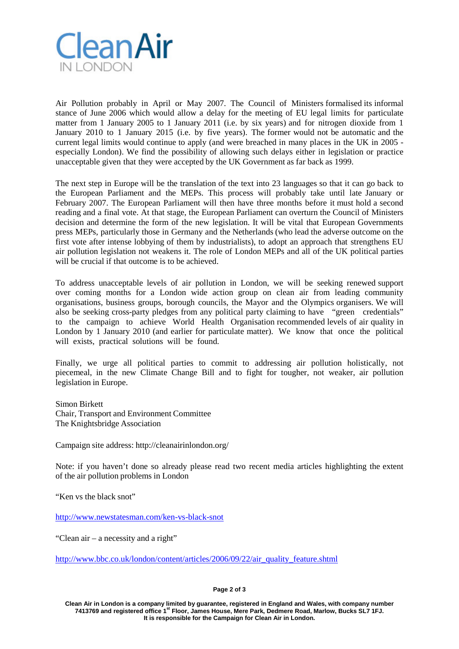

Air Pollution probably in April or May 2007. The Council of Ministers formalised its informal stance of June 2006 which would allow a delay for the meeting of EU legal limits for particulate matter from 1 January 2005 to 1 January 2011 (i.e. by six years) and for nitrogen dioxide from 1 January 2010 to 1 January 2015 (i.e. by five years). The former would not be automatic and the current legal limits would continue to apply (and were breached in many places in the UK in 2005 especially London). We find the possibility of allowing such delays either in legislation or practice unacceptable given that they were accepted by the UK Government as far back as 1999.

The next step in Europe will be the translation of the text into 23 languages so that it can go back to the European Parliament and the MEPs. This process will probably take until late January or February 2007. The European Parliament will then have three months before it must hold a second reading and a final vote. At that stage, the European Parliament can overturn the Council of Ministers decision and determine the form of the new legislation. It will be vital that European Governments press MEPs, particularly those in Germany and the Netherlands (who lead the adverse outcome on the first vote after intense lobbying of them by industrialists), to adopt an approach that strengthens EU air pollution legislation not weakens it. The role of London MEPs and all of the UK political parties will be crucial if that outcome is to be achieved.

To address unacceptable levels of air pollution in London, we will be seeking renewed support over coming months for a London wide action group on clean air from leading community organisations, business groups, borough councils, the Mayor and the Olympics organisers. We will also be seeking cross-party pledges from any political party claiming to have "green credentials" to the campaign to achieve World Health Organisation recommended levels of air quality in London by 1 January 2010 (and earlier for particulate matter). We know that once the political will exists, practical solutions will be found.

Finally, we urge all political parties to commit to addressing air pollution holistically, not piecemeal, in the new Climate Change Bill and to fight for tougher, not weaker, air pollution legislation in Europe.

Simon Birkett Chair, Transport and Environment Committee The Knightsbridge Association

Campaign site address: http://cleanairinlondon.org/

Note: if you haven't done so already please read two recent media articles highlighting the extent of the air pollution problems in London

"Ken vs the black snot"

<http://www.newstatesman.com/ken-vs-black-snot>

"Clean air – a necessity and a right"

[http://www.bbc.co.uk/london/content/articles/2006/09/22/air\\_quality\\_feature.shtml](http://www.bbc.co.uk/london/content/articles/2006/09/22/air_quality_feature.shtml)